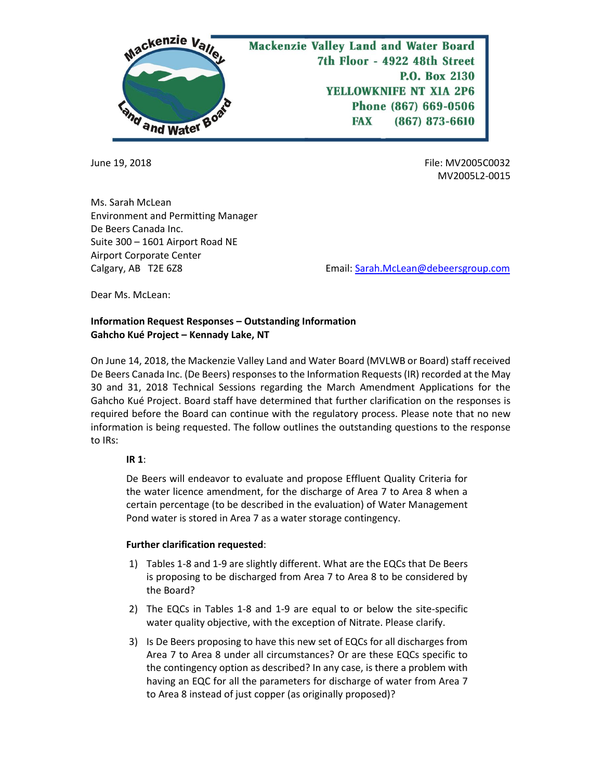

June 19, 2018 File: MV2005C0032 MV2005L2-0015

Ms. Sarah McLean Environment and Permitting Manager De Beers Canada Inc. Suite 300 – 1601 Airport Road NE Airport Corporate Center

Calgary, AB T2E 6Z8 Email[: Sarah.McLean@debeersgroup.com](mailto:Sarah.McLean@debeersgroup.com)

Dear Ms. McLean:

# **Information Request Responses – Outstanding Information Gahcho Kué Project – Kennady Lake, NT**

On June 14, 2018, the Mackenzie Valley Land and Water Board (MVLWB or Board) staff received De Beers Canada Inc. (De Beers) responses to the Information Requests (IR) recorded at the May 30 and 31, 2018 Technical Sessions regarding the March Amendment Applications for the Gahcho Kué Project. Board staff have determined that further clarification on the responses is required before the Board can continue with the regulatory process. Please note that no new information is being requested. The follow outlines the outstanding questions to the response to IRs:

### **IR 1**:

De Beers will endeavor to evaluate and propose Effluent Quality Criteria for the water licence amendment, for the discharge of Area 7 to Area 8 when a certain percentage (to be described in the evaluation) of Water Management Pond water is stored in Area 7 as a water storage contingency.

#### **Further clarification requested**:

- 1) Tables 1-8 and 1-9 are slightly different. What are the EQCs that De Beers is proposing to be discharged from Area 7 to Area 8 to be considered by the Board?
- 2) The EQCs in Tables 1-8 and 1-9 are equal to or below the site-specific water quality objective, with the exception of Nitrate. Please clarify.
- 3) Is De Beers proposing to have this new set of EQCs for all discharges from Area 7 to Area 8 under all circumstances? Or are these EQCs specific to the contingency option as described? In any case, is there a problem with having an EQC for all the parameters for discharge of water from Area 7 to Area 8 instead of just copper (as originally proposed)?